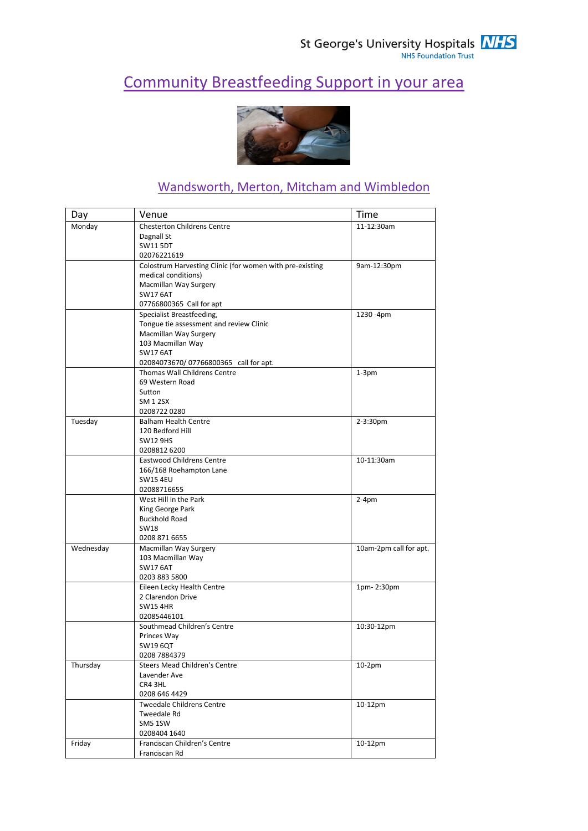## Community Breastfeeding Support in your area



## Wandsworth, Merton, Mitcham and Wimbledon

| Day       | Venue                                                    | Time                   |
|-----------|----------------------------------------------------------|------------------------|
| Monday    | <b>Chesterton Childrens Centre</b>                       | 11-12:30am             |
|           | Dagnall St                                               |                        |
|           | <b>SW11 5DT</b>                                          |                        |
|           | 02076221619                                              |                        |
|           | Colostrum Harvesting Clinic (for women with pre-existing | 9am-12:30pm            |
|           | medical conditions)                                      |                        |
|           | Macmillan Way Surgery                                    |                        |
|           | <b>SW17 6AT</b>                                          |                        |
|           | 07766800365 Call for apt                                 |                        |
|           | Specialist Breastfeeding,                                | 1230 -4pm              |
|           | Tongue tie assessment and review Clinic                  |                        |
|           | Macmillan Way Surgery                                    |                        |
|           | 103 Macmillan Way                                        |                        |
|           | <b>SW17 6AT</b>                                          |                        |
|           | 02084073670/07766800365 call for apt.                    |                        |
|           | Thomas Wall Childrens Centre                             | $1-3pm$                |
|           | 69 Western Road                                          |                        |
|           | Sutton                                                   |                        |
|           | SM 1 2SX                                                 |                        |
|           | 02087220280                                              |                        |
| Tuesday   | <b>Balham Health Centre</b>                              | 2-3:30pm               |
|           | 120 Bedford Hill                                         |                        |
|           | <b>SW12 9HS</b>                                          |                        |
|           | 0208812 6200                                             |                        |
|           | <b>Eastwood Childrens Centre</b>                         | 10-11:30am             |
|           | 166/168 Roehampton Lane                                  |                        |
|           | <b>SW15 4EU</b>                                          |                        |
|           | 02088716655                                              |                        |
|           | West Hill in the Park                                    | $2-4pm$                |
|           | King George Park                                         |                        |
|           | <b>Buckhold Road</b>                                     |                        |
|           | SW18                                                     |                        |
|           | 0208 871 6655                                            |                        |
| Wednesday | Macmillan Way Surgery                                    | 10am-2pm call for apt. |
|           | 103 Macmillan Way                                        |                        |
|           | <b>SW17 6AT</b>                                          |                        |
|           | 0203 883 5800                                            |                        |
|           | Eileen Lecky Health Centre                               | 1pm-2:30pm             |
|           | 2 Clarendon Drive                                        |                        |
|           | <b>SW154HR</b>                                           |                        |
|           | 02085446101                                              |                        |
|           | Southmead Children's Centre                              | 10:30-12pm             |
|           | Princes Way                                              |                        |
|           | SW19 6QT                                                 |                        |
|           | 0208 7884379                                             |                        |
| Thursday  | <b>Steers Mead Children's Centre</b>                     | $10-2pm$               |
|           | Lavender Ave                                             |                        |
|           | CR4 3HL                                                  |                        |
|           | 0208 646 4429                                            |                        |
|           | <b>Tweedale Childrens Centre</b>                         | 10-12pm                |
|           | Tweedale Rd                                              |                        |
|           | SM5 1SW                                                  |                        |
|           | 0208404 1640                                             |                        |
| Friday    | Franciscan Children's Centre                             | 10-12pm                |
|           | Franciscan Rd                                            |                        |